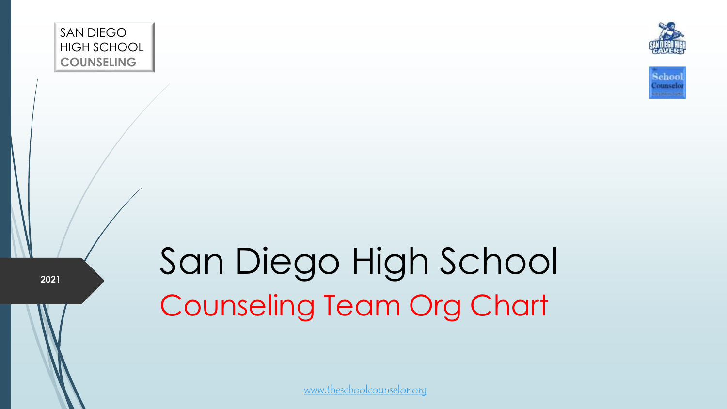





**2021** 

## San Diego High School Counseling Team Org Chart

[www.theschoolcounselor.org](http://www.theschoolcounselor.org/)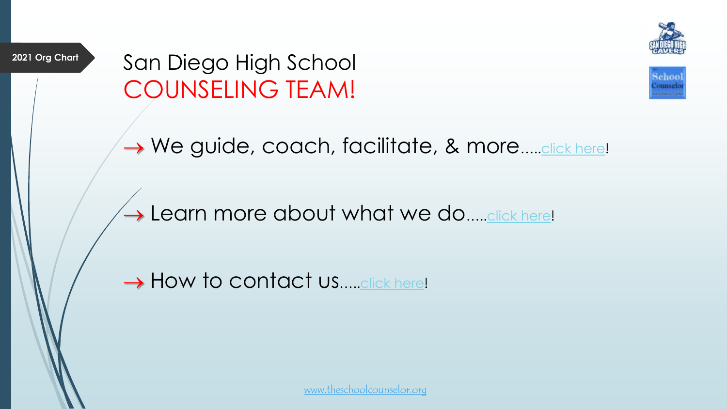

**2021 Org Chart**

San Diego High School COUNSELING TEAM!



→ We guide, coach, facilitate, & more.....[click here](https://www.theschoolcounselor.org/guidance)!

## $\rightarrow$  Learn more about what we do..... [click here!](https://www.theschoolcounselor.org/about)

→ How to contact us.....[click here](https://www.theschoolcounselor.org/contactus)!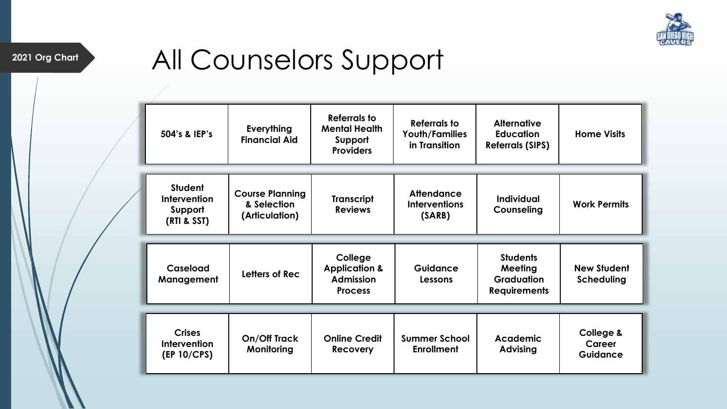

## 2021 Org Chart **All Counselors Support**

| 504's & IEP's                                                   | Everything<br><b>Financial Aid</b>                      | Referrals to<br><b>Mental Health</b><br>Support<br><b>Providers</b> | Referrals to<br><b>Youth/Families</b><br>in Transition | <b>Alternative</b><br><b>Education</b><br><b>Referrals (SIPS)</b> | <b>Home Visits</b>               |
|-----------------------------------------------------------------|---------------------------------------------------------|---------------------------------------------------------------------|--------------------------------------------------------|-------------------------------------------------------------------|----------------------------------|
| <b>Student</b><br><b>Intervention</b><br>Support<br>(RTI & SST) | <b>Course Planning</b><br>& Selection<br>(Articulation) | <b>Transcript</b><br><b>Reviews</b>                                 | <b>Attendance</b><br><b>Interventions</b><br>(SARB)    | Individual<br>Counseling                                          | <b>Work Permits</b>              |
|                                                                 |                                                         | College                                                             | Guidance                                               | <b>Students</b>                                                   |                                  |
|                                                                 |                                                         |                                                                     |                                                        |                                                                   |                                  |
| Caseload<br>Management                                          | Letters of Rec                                          | <b>Application &amp;</b><br><b>Admission</b><br><b>Process</b>      | Lessons                                                | Meeting<br><b>Graduation</b><br><b>Requirements</b>               | <b>New Student</b><br>Scheduling |
|                                                                 |                                                         |                                                                     |                                                        |                                                                   |                                  |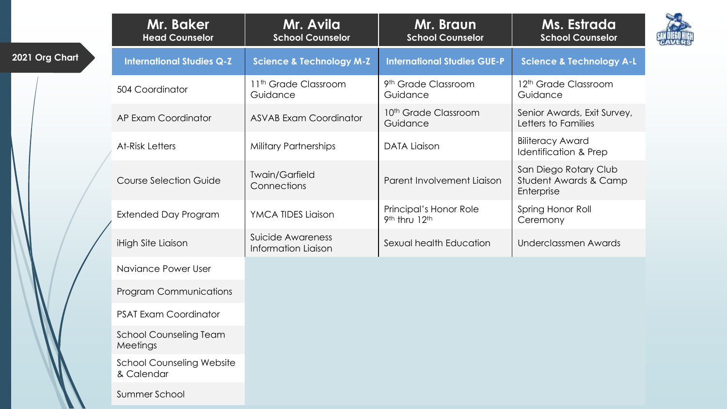|                | Mr. Baker<br><b>Head Counselor</b>             | Mr. Avila<br><b>School Counselor</b>            | Mr. Braun<br><b>School Counselor</b>         | Ms. Estrada<br><b>School Counselor</b>                       |  |
|----------------|------------------------------------------------|-------------------------------------------------|----------------------------------------------|--------------------------------------------------------------|--|
| 2021 Org Chart | <b>International Studies Q-Z</b>               | <b>Science &amp; Technology M-Z</b>             | <b>International Studies GUE-P</b>           | <b>Science &amp; Technology A-L</b>                          |  |
|                | 504 Coordinator                                | 11 <sup>th</sup> Grade Classroom<br>Guidance    | 9 <sup>th</sup> Grade Classroom<br>Guidance  | 12 <sup>th</sup> Grade Classroom<br>Guidance                 |  |
|                | AP Exam Coordinator                            | <b>ASVAB Exam Coordinator</b>                   | 10 <sup>th</sup> Grade Classroom<br>Guidance | Senior Awards, Exit Survey,<br>Letters to Families           |  |
|                | <b>At-Risk Letters</b>                         | <b>Military Partnerships</b>                    | <b>DATA Liaison</b>                          | <b>Biliteracy Award</b><br>Identification & Prep             |  |
|                | <b>Course Selection Guide</b>                  | <b>Twain/Garfield</b><br>Connections            | Parent Involvement Liaison                   | San Diego Rotary Club<br>Student Awards & Camp<br>Enterprise |  |
|                | <b>Extended Day Program</b>                    | YMCA TIDES Liaison                              | Principal's Honor Role<br>9th thru 12th      | Spring Honor Roll<br>Ceremony                                |  |
|                | iHigh Site Liaison                             | Suicide Awareness<br><b>Information Liaison</b> | Sexual health Education                      | <b>Underclassmen Awards</b>                                  |  |
|                | Naviance Power User                            |                                                 |                                              |                                                              |  |
|                | <b>Program Communications</b>                  |                                                 |                                              |                                                              |  |
|                | <b>PSAT Exam Coordinator</b>                   |                                                 |                                              |                                                              |  |
|                | <b>School Counseling Team</b><br>Meetings      |                                                 |                                              |                                                              |  |
|                | <b>School Counseling Website</b><br>& Calendar |                                                 |                                              |                                                              |  |
|                | Summer School                                  |                                                 |                                              |                                                              |  |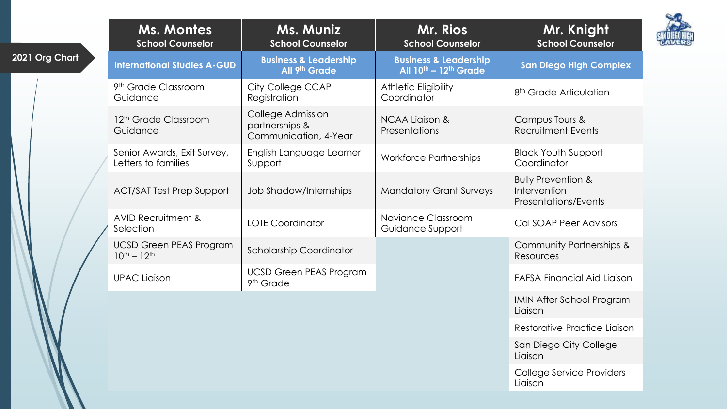|                | <b>Ms. Montes</b><br><b>School Counselor</b>          | <b>Ms. Muniz</b><br><b>School Counselor</b>                  | Mr. Rios<br><b>School Counselor</b>                                 | Mr. Knight<br><b>School Counselor</b>                                 |
|----------------|-------------------------------------------------------|--------------------------------------------------------------|---------------------------------------------------------------------|-----------------------------------------------------------------------|
| 2021 Org Chart | <b>International Studies A-GUD</b>                    | <b>Business &amp; Leadership</b><br>All 9th Grade            | <b>Business &amp; Leadership</b><br>All $10^{th}$ – $12^{th}$ Grade | <b>San Diego High Complex</b>                                         |
|                | 9 <sup>th</sup> Grade Classroom<br>Guidance           | City College CCAP<br>Registration                            | Athletic Eligibility<br>Coordinator                                 | 8 <sup>th</sup> Grade Articulation                                    |
|                | 12 <sup>th</sup> Grade Classroom<br>Guidance          | College Admission<br>partnerships &<br>Communication, 4-Year | <b>NCAA Liaison &amp;</b><br>Presentations                          | Campus Tours &<br><b>Recruitment Events</b>                           |
|                | Senior Awards, Exit Survey,<br>Letters to families    | English Language Learner<br>Support                          | <b>Workforce Partnerships</b>                                       | <b>Black Youth Support</b><br>Coordinator                             |
|                | <b>ACT/SAT Test Prep Support</b>                      | Job Shadow/Internships                                       | <b>Mandatory Grant Surveys</b>                                      | <b>Bully Prevention &amp;</b><br>Intervention<br>Presentations/Events |
|                | <b>AVID Recruitment &amp;</b><br>Selection            | <b>LOTE Coordinator</b>                                      | Naviance Classroom<br>Guidance Support                              | <b>Cal SOAP Peer Advisors</b>                                         |
|                | <b>UCSD Green PEAS Program</b><br>$10^{th} - 12^{th}$ | <b>Scholarship Coordinator</b>                               |                                                                     | Community Partnerships &<br>Resources                                 |
|                | <b>UPAC Liaison</b>                                   | <b>UCSD Green PEAS Program</b><br>9 <sup>th</sup> Grade      |                                                                     | <b>FAFSA Financial Aid Liaison</b>                                    |
|                |                                                       |                                                              |                                                                     | <b>IMIN After School Program</b><br>Liaison                           |
|                |                                                       |                                                              |                                                                     | Restorative Practice Liaison                                          |
|                |                                                       |                                                              |                                                                     | San Diego City College<br>Liaison                                     |
|                |                                                       |                                                              |                                                                     | College Service Providers<br>Liaison                                  |

 $\mathcal{I}$ 

X

DIEGO HICH<br>AVERS